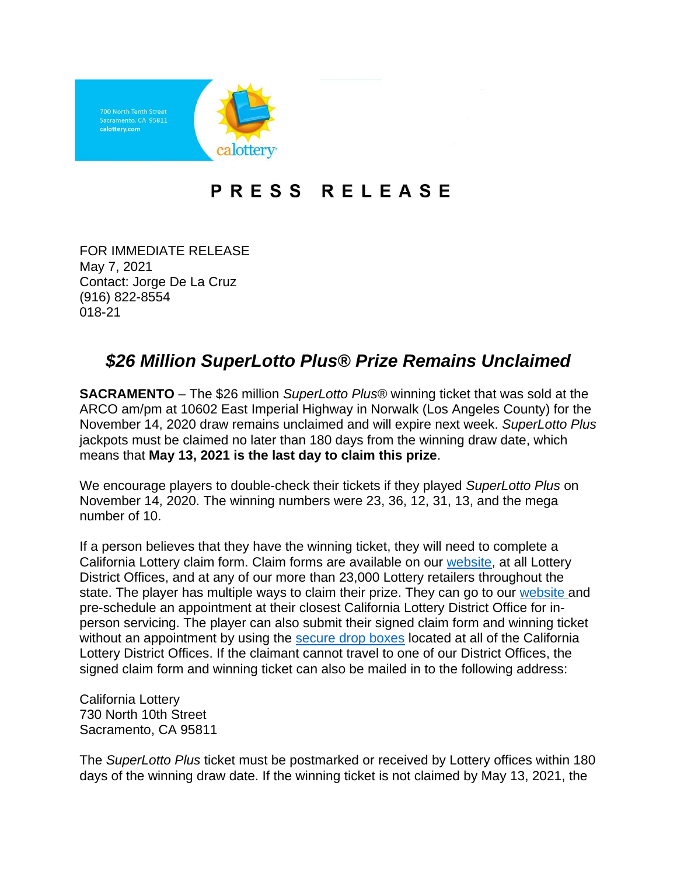

## PRESS RELEASE

FOR IMMEDIATE RELEASE May 7, 2021 Contact: Jorge De La Cruz (916) 822-8554 018-21

## *\$26 Million SuperLotto Plus® Prize Remains Unclaimed*

**SACRAMENTO** – The \$26 million *SuperLotto Plus®* winning ticket that was sold at the ARCO am/pm at 10602 East Imperial Highway in Norwalk (Los Angeles County) for the November 14, 2020 draw remains unclaimed and will expire next week. *SuperLotto Plus* jackpots must be claimed no later than 180 days from the winning draw date, which means that **May 13, 2021 is the last day to claim this prize**.

We encourage players to double-check their tickets if they played *SuperLotto Plus* on November 14, 2020. The winning numbers were 23, 36, 12, 31, 13, and the mega number of 10.

If a person believes that they have the winning ticket, they will need to complete a California Lottery claim form. Claim forms are available on our [website,](https://www.calottery.com/claim-a-prize) at all Lottery District Offices, and at any of our more than 23,000 Lottery retailers throughout the state. The player has multiple ways to claim their prize. They can go to our [website](https://www.calottery.com/Lottery-Updates/adjustments-to-district-office-operations) and pre-schedule an appointment at their closest California Lottery District Office for inperson servicing. The player can also submit their signed claim form and winning ticket without an appointment by using the [secure drop boxes](https://www.calottery.com/claim-a-prize) located at all of the California Lottery District Offices. If the claimant cannot travel to one of our District Offices, the signed claim form and winning ticket can also be mailed in to the following address:

California Lottery 730 North 10th Street Sacramento, CA 95811

The *SuperLotto Plus* ticket must be postmarked or received by Lottery offices within 180 days of the winning draw date. If the winning ticket is not claimed by May 13, 2021, the